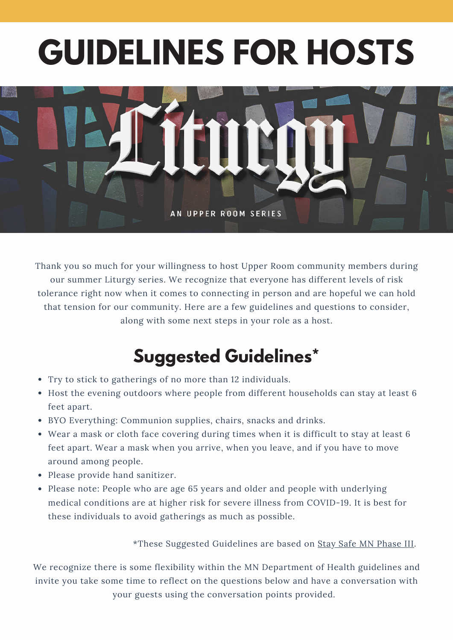# **GUIDELINES FOR HOSTS**



Thank you so much for your willingness to host Upper Room community members during our summer Liturgy series. We recognize that everyone has different levels of risk tolerance right now when it comes to connecting in person and are hopeful we can hold that tension for our community. Here are a few guidelines and questions to consider, along with some next steps in your role as a host.

## **Suggested Guidelines\***

- Try to stick to gatherings of no more than 12 individuals.
- Host the evening outdoors where people from different households can stay at least 6 feet apart.
- BYO Everything: Communion supplies, chairs, snacks and drinks.
- Wear a mask or cloth face covering during times when it is difficult to stay at least 6 feet apart. Wear a mask when you arrive, when you leave, and if you have to move around among people.
- Please provide hand sanitizer.
- Please note: People who are age 65 years and older and people with underlying medical conditions are at higher risk for severe illness from COVID-19. It is best for these individuals to avoid gatherings as much as possible.

\*These Suggested Guidelines are based on Stay Safe MN [Phase](https://mn.gov/covid19/for-minnesotans/stay-safe-mn/stay-safe-plan.jsp) III.

We recognize there is some flexibility within the MN Department of Health guidelines and invite you take some time to reflect on the questions below and have a conversation with your guests using the conversation points provided.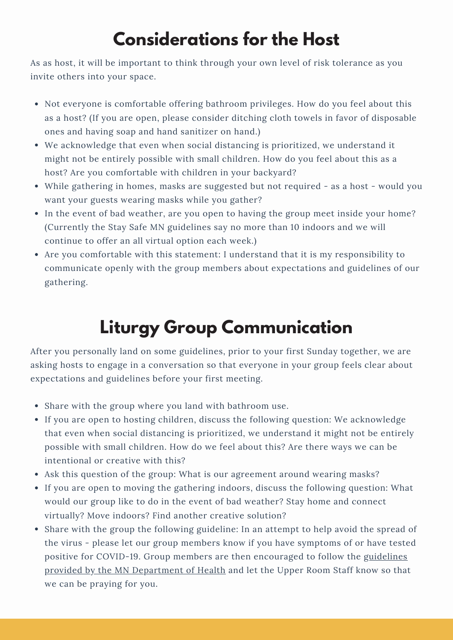# **Considerations for the Host**

As as host, it will be important to think through your own level of risk tolerance as you invite others into your space.

- Not everyone is comfortable offering bathroom privileges. How do you feel about this as a host? (If you are open, please consider ditching cloth towels in favor of disposable ones and having soap and hand sanitizer on hand.)
- We acknowledge that even when social distancing is prioritized, we understand it might not be entirely possible with small children. How do you feel about this as a host? Are you comfortable with children in your backyard?
- While gathering in homes, masks are suggested but not required as a host would you want your guests wearing masks while you gather?
- In the event of bad weather, are you open to having the group meet inside your home? (Currently the Stay Safe MN guidelines say no more than 10 indoors and we will continue to offer an all virtual option each week.)
- Are you comfortable with this statement: I understand that it is my responsibility to communicate openly with the group members about expectations and guidelines of our gathering.

# **Liturgy Group Communication**

After you personally land on some guidelines, prior to your first Sunday together, we are asking hosts to engage in a conversation so that everyone in your group feels clear about expectations and guidelines before your first meeting.

- Share with the group where you land with bathroom use.
- If you are open to hosting children, discuss the following question: We acknowledge that even when social distancing is prioritized, we understand it might not be entirely possible with small children. How do we feel about this? Are there ways we can be intentional or creative with this?
- Ask this question of the group: What is our agreement around wearing masks?
- If you are open to moving the gathering indoors, discuss the following question: What would our group like to do in the event of bad weather? Stay home and connect virtually? Move indoors? Find another creative solution?
- Share with the group the following guideline: In an attempt to help avoid the spread of the virus - please let our group members know if you have symptoms of or have tested positive for COVID-19. Group members are then encouraged to follow the guidelines provided by the MN [Department](https://www.health.state.mn.us/diseases/coronavirus/waiting.pdf) of Health and let the Upper Room Staff know so that we can be praying for you.